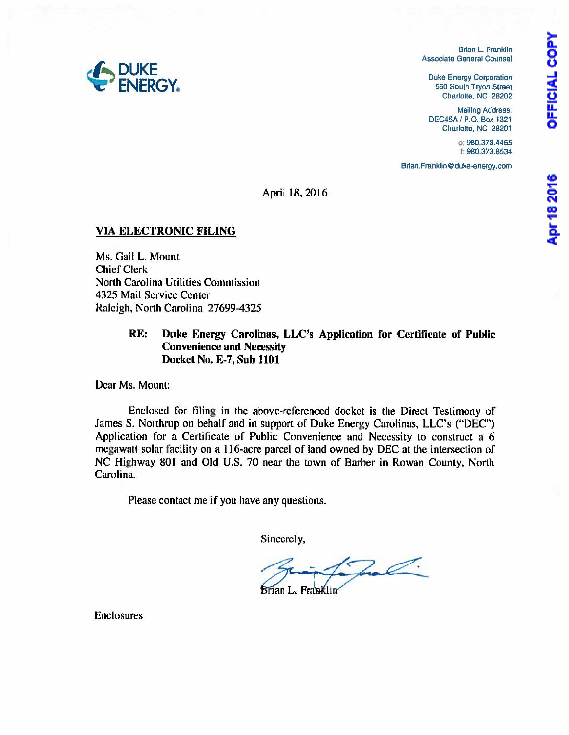**OFFICIAL COPY** 

Brian L. Franklin Associate General Counsel

Duke Energy Corporation 550 South Tryon Streat Charlotte, NC 28202

Malling Address: DEC45A I P.O. Box 1321 Charlotte. NC 28201

> o: 980.373.4465 f; 980.373.8534

Brian.Franklin@duke-energy.com

April 18, 2016

#### VIA ELECTRONIC FILING

Ms. Gail L. Mount Chief Clerk North Carolina Utilities Commission 4325 Mail Service Center Raleigh, North Carolina 27699-4325

#### RE: Duke Energy Carolinas, LLC's Application for Certificate of Public Convenience and Necessity Docket No. E-7, Sub 1101

Dear Ms. Mount:

Enclosed for filing in the above-referenced docket is the Direct Testimony of James S. Northrup on behalf and in support of Duke Energy Carolinas, LLC's ("DEC") Application for a Certificate of Public Convenience and Necessity to construct a 6 megawatt solar facility on a 1 16-acre parcel of land owned by DEC at the intersection of NC Highway 801 and Old U.S. 70 near the town of Barber in Rowan County, North Carolina.

Please contact me if you have any questions.

Sincerely,

 $S<sub>1</sub>$   $S<sub>1</sub>$   $S<sub>1</sub>$   $S<sub>1</sub>$   $S<sub>1</sub>$   $S<sub>1</sub>$ 

Enclosures

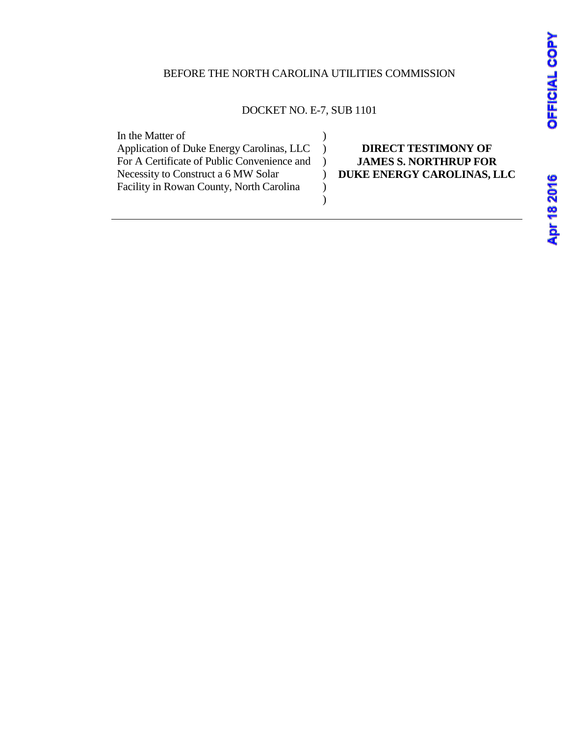## BEFORE THE NORTH CAROLINA UTILITIES COMMISSION

## DOCKET NO. E-7, SUB 1101

| In the Matter of                            |                              |
|---------------------------------------------|------------------------------|
| Application of Duke Energy Carolinas, LLC   | <b>DIRECT TESTIMONY OF</b>   |
| For A Certificate of Public Convenience and | <b>JAMES S. NORTHRUP FOR</b> |
| Necessity to Construct a 6 MW Solar         | DUKE ENERGY CAROLINAS, LLC   |
| Facility in Rowan County, North Carolina    |                              |
|                                             |                              |
|                                             |                              |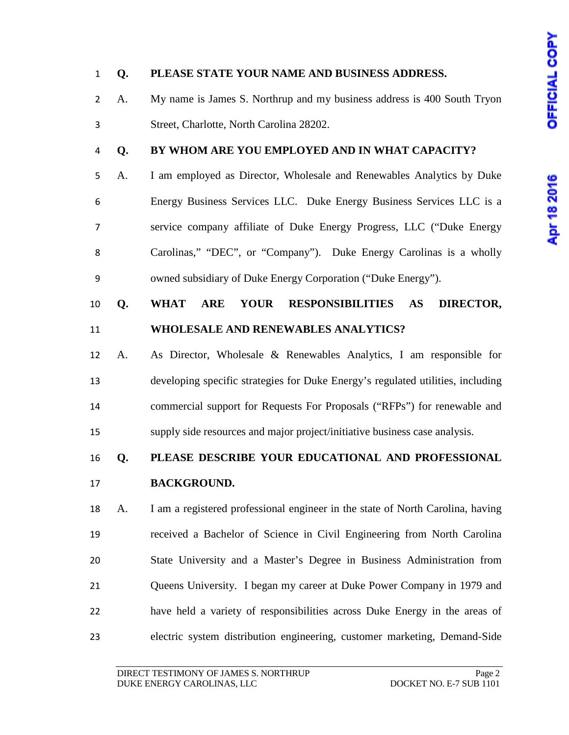# Apr 18 2016

### **Q. PLEASE STATE YOUR NAME AND BUSINESS ADDRESS.**

 A. My name is James S. Northrup and my business address is 400 South Tryon Street, Charlotte, North Carolina 28202.

### **Q. BY WHOM ARE YOU EMPLOYED AND IN WHAT CAPACITY?**

 A. I am employed as Director, Wholesale and Renewables Analytics by Duke Energy Business Services LLC. Duke Energy Business Services LLC is a service company affiliate of Duke Energy Progress, LLC ("Duke Energy Carolinas," "DEC", or "Company"). Duke Energy Carolinas is a wholly owned subsidiary of Duke Energy Corporation ("Duke Energy").

## **Q. WHAT ARE YOUR RESPONSIBILITIES AS DIRECTOR, WHOLESALE AND RENEWABLES ANALYTICS?**

 A. As Director, Wholesale & Renewables Analytics, I am responsible for developing specific strategies for Duke Energy's regulated utilities, including commercial support for Requests For Proposals ("RFPs") for renewable and supply side resources and major project/initiative business case analysis.

## **Q. PLEASE DESCRIBE YOUR EDUCATIONAL AND PROFESSIONAL BACKGROUND.**

 A. I am a registered professional engineer in the state of North Carolina, having received a Bachelor of Science in Civil Engineering from North Carolina State University and a Master's Degree in Business Administration from Queens University. I began my career at Duke Power Company in 1979 and have held a variety of responsibilities across Duke Energy in the areas of electric system distribution engineering, customer marketing, Demand-Side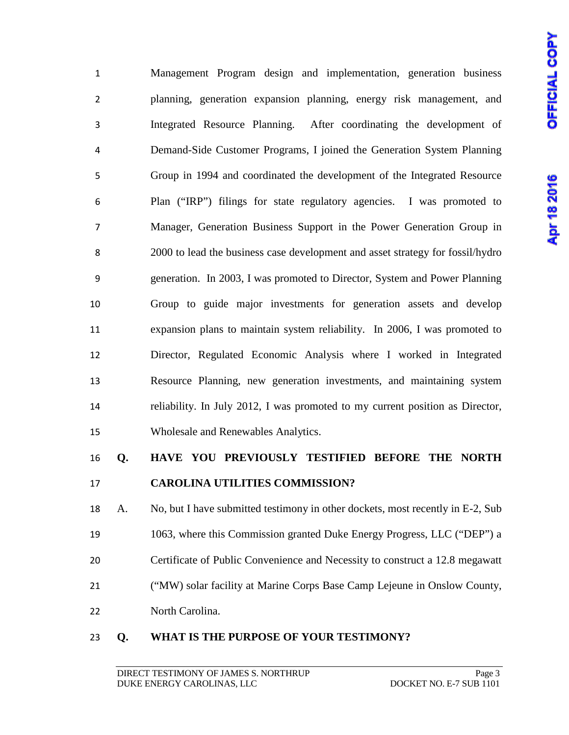Management Program design and implementation, generation business planning, generation expansion planning, energy risk management, and Integrated Resource Planning. After coordinating the development of Demand-Side Customer Programs, I joined the Generation System Planning Group in 1994 and coordinated the development of the Integrated Resource Plan ("IRP") filings for state regulatory agencies. I was promoted to Manager, Generation Business Support in the Power Generation Group in 2000 to lead the business case development and asset strategy for fossil/hydro generation. In 2003, I was promoted to Director, System and Power Planning Group to guide major investments for generation assets and develop expansion plans to maintain system reliability. In 2006, I was promoted to Director, Regulated Economic Analysis where I worked in Integrated Resource Planning, new generation investments, and maintaining system reliability. In July 2012, I was promoted to my current position as Director, Wholesale and Renewables Analytics.

## **Q. HAVE YOU PREVIOUSLY TESTIFIED BEFORE THE NORTH CAROLINA UTILITIES COMMISSION?**

 A. No, but I have submitted testimony in other dockets, most recently in E-2, Sub 1063, where this Commission granted Duke Energy Progress, LLC ("DEP") a Certificate of Public Convenience and Necessity to construct a 12.8 megawatt ("MW) solar facility at Marine Corps Base Camp Lejeune in Onslow County, North Carolina.

#### **Q. WHAT IS THE PURPOSE OF YOUR TESTIMONY?**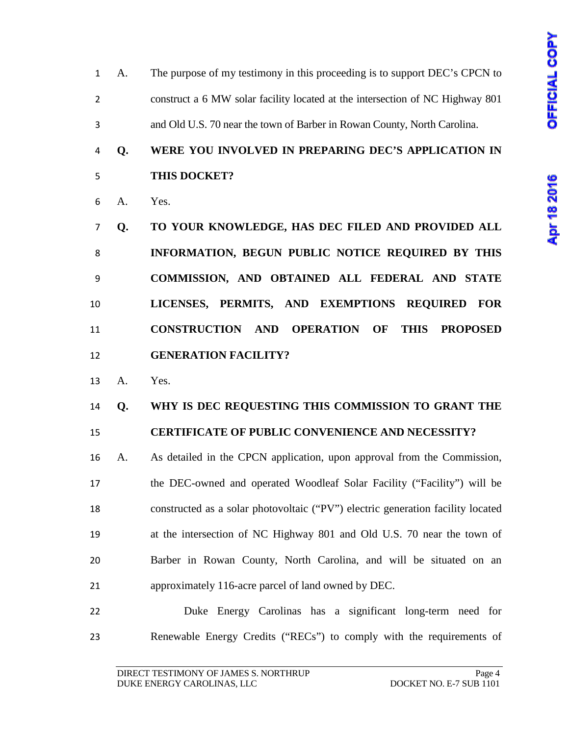A. The purpose of my testimony in this proceeding is to support DEC's CPCN to construct a 6 MW solar facility located at the intersection of NC Highway 801 and Old U.S. 70 near the town of Barber in Rowan County, North Carolina.

## **Q. WERE YOU INVOLVED IN PREPARING DEC'S APPLICATION IN THIS DOCKET?**

- A. Yes.
- **Q. TO YOUR KNOWLEDGE, HAS DEC FILED AND PROVIDED ALL INFORMATION, BEGUN PUBLIC NOTICE REQUIRED BY THIS COMMISSION, AND OBTAINED ALL FEDERAL AND STATE LICENSES, PERMITS, AND EXEMPTIONS REQUIRED FOR CONSTRUCTION AND OPERATION OF THIS PROPOSED GENERATION FACILITY?**
- A. Yes.

# **Q. WHY IS DEC REQUESTING THIS COMMISSION TO GRANT THE**

#### **CERTIFICATE OF PUBLIC CONVENIENCE AND NECESSITY?**

- A. As detailed in the CPCN application, upon approval from the Commission, the DEC-owned and operated Woodleaf Solar Facility ("Facility") will be constructed as a solar photovoltaic ("PV") electric generation facility located at the intersection of NC Highway 801 and Old U.S. 70 near the town of Barber in Rowan County, North Carolina, and will be situated on an approximately 116-acre parcel of land owned by DEC.
- Duke Energy Carolinas has a significant long-term need for Renewable Energy Credits ("RECs") to comply with the requirements of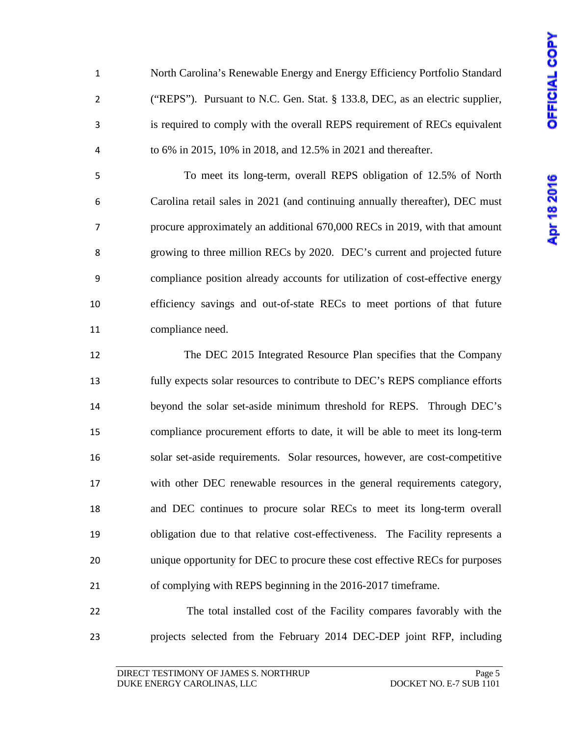North Carolina's Renewable Energy and Energy Efficiency Portfolio Standard ("REPS"). Pursuant to N.C. Gen. Stat. § 133.8, DEC, as an electric supplier, is required to comply with the overall REPS requirement of RECs equivalent to 6% in 2015, 10% in 2018, and 12.5% in 2021 and thereafter.

 To meet its long-term, overall REPS obligation of 12.5% of North Carolina retail sales in 2021 (and continuing annually thereafter), DEC must procure approximately an additional 670,000 RECs in 2019, with that amount growing to three million RECs by 2020. DEC's current and projected future compliance position already accounts for utilization of cost-effective energy efficiency savings and out-of-state RECs to meet portions of that future compliance need.

 The DEC 2015 Integrated Resource Plan specifies that the Company fully expects solar resources to contribute to DEC's REPS compliance efforts beyond the solar set-aside minimum threshold for REPS. Through DEC's compliance procurement efforts to date, it will be able to meet its long-term solar set-aside requirements. Solar resources, however, are cost-competitive with other DEC renewable resources in the general requirements category, and DEC continues to procure solar RECs to meet its long-term overall obligation due to that relative cost-effectiveness. The Facility represents a unique opportunity for DEC to procure these cost effective RECs for purposes of complying with REPS beginning in the 2016-2017 timeframe.

 The total installed cost of the Facility compares favorably with the projects selected from the February 2014 DEC-DEP joint RFP, including